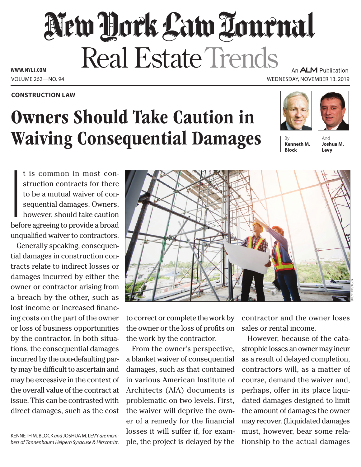## New Dock Law Louenal Real Estate Trends **www. NYLJ.com**

## **Construction Law**

## Owners Should Take Caution in **Waiving Consequential Damages**

An **ALM** Publication Volume 262—NO. 94 Wednesday, November 13. 2019





**Kenneth M. Block**

And **Joshua M. Levy**

**I**<br>I<br>I<br>I<br>I<br>I<br>I<br>I t is common in most construction contracts for there to be a mutual waiver of consequential damages. Owners, however, should take caution before agreeing to provide a broad unqualified waiver to contractors.

Generally speaking, consequential damages in construction contracts relate to indirect losses or damages incurred by either the owner or contractor arising from a breach by the other, such as lost income or increased financing costs on the part of the owner or loss of business opportunities by the contractor. In both situations, the consequential damages incurred by the non-defaulting party may be difficult to ascertain and may be excessive in the context of the overall value of the contract at issue. This can be contrasted with direct damages, such as the cost

Kenneth M. Block *and* Joshua M. Levy *are members of Tannenbaum Helpern Syracuse & Hirschtritt.*



to correct or complete the work by the owner or the loss of profits on the work by the contractor.

From the owner's perspective, a blanket waiver of consequential damages, such as that contained in various American Institute of Architects (AIA) documents is problematic on two levels. First, the waiver will deprive the owner of a remedy for the financial losses it will suffer if, for example, the project is delayed by the contractor and the owner loses sales or rental income.

However, because of the catastrophic losses an owner may incur as a result of delayed completion, contractors will, as a matter of course, demand the waiver and, perhaps, offer in its place liquidated damages designed to limit the amount of damages the owner may recover. (Liquidated damages must, however, bear some relationship to the actual damages